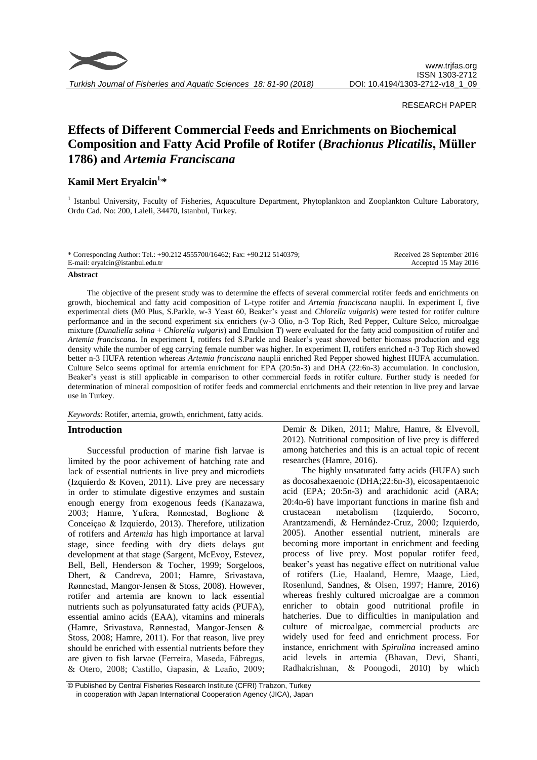

# RESEARCH PAPER

# **Effects of Different Commercial Feeds and Enrichments on Biochemical Composition and Fatty Acid Profile of Rotifer (***Brachionus Plicatilis***, Müller 1786) and** *Artemia Franciscana*

# **Kamil Mert Eryalcin 1, \***

<sup>1</sup> Istanbul University, Faculty of Fisheries, Aquaculture Department, Phytoplankton and Zooplankton Culture Laboratory, Ordu Cad. No: 200, Laleli, 34470, Istanbul, Turkey.

| * Corresponding Author: Tel.: $+90.212\,4555700/16462$ ; Fax: $+90.212\,5140379$ ; | Received 28 September 2016 |
|------------------------------------------------------------------------------------|----------------------------|
| E-mail: eryalcin@istanbul.edu.tr                                                   | Accepted 15 May 2016       |
|                                                                                    |                            |

#### **Abstract**

The objective of the present study was to determine the effects of several commercial rotifer feeds and enrichments on growth, biochemical and fatty acid composition of L-type rotifer and *Artemia franciscana* nauplii. In experiment I, five experimental diets (M0 Plus, S.Parkle, w-3 Yeast 60, Beaker's yeast and *Chlorella vulgaris*) were tested for rotifer culture performance and in the second experiment six enrichers (w-3 Olio, n-3 Top Rich, Red Pepper, Culture Selco, microalgae mixture (*Dunaliella salina* + *Chlorella vulgaris*) and Emulsion T) were evaluated for the fatty acid composition of rotifer and *Artemia franciscana*. In experiment I, rotifers fed S.Parkle and Beaker's yeast showed better biomass production and egg density while the number of egg carrying female number was higher. In experiment II, rotifers enriched n-3 Top Rich showed better n-3 HUFA retention whereas *Artemia franciscana* nauplii enriched Red Pepper showed highest HUFA accumulation. Culture Selco seems optimal for artemia enrichment for EPA (20:5n-3) and DHA (22:6n-3) accumulation. In conclusion, Beaker's yeast is still applicable in comparison to other commercial feeds in rotifer culture. Further study is needed for determination of mineral composition of rotifer feeds and commercial enrichments and their retention in live prey and larvae use in Turkey.

*Keywords*: Rotifer, artemia, growth, enrichment, fatty acids.

# **Introduction**

Successful production of marine fish larvae is limited by the poor achivement of hatching rate and lack of essential nutrients in live prey and microdiets (Izquierdo & Koven, 2011). Live prey are necessary in order to stimulate digestive enzymes and sustain enough energy from exogenous feeds (Kanazawa, 2003; Hamre, Yufera, Rønnestad, Boglione & Conceiçao & Izquierdo, 2013). Therefore, utilization of rotifers and *Artemia* has high importance at larval stage, since feeding with dry diets delays gut development at that stage (Sargent, McEvoy, Estevez, Bell, Bell, Henderson & Tocher, 1999; Sorgeloos, Dhert, & Candreva, 2001; Hamre, Srivastava, Rønnestad, Mangor-Jensen & Stoss, 2008). However, rotifer and artemia are known to lack essential nutrients such as polyunsaturated fatty acids (PUFA), essential amino acids (EAA), vitamins and minerals (Hamre, Srivastava, Rønnestad, Mangor-Jensen & Stoss, 2008; Hamre, 2011). For that reason, live prey should be enriched with essential nutrients before they are given to fish larvae (Ferreira, Maseda, Fábregas, & Otero, 2008; Castillo, Gapasin, & Leaño, 2009; Demir & Diken, 2011; Mahre, Hamre, & Elvevoll, 2012). Nutritional composition of live prey is differed among hatcheries and this is an actual topic of recent researches (Hamre, 2016).

The highly unsaturated fatty acids (HUFA) such as docosahexaenoic (DHA;22:6n-3), eicosapentaenoic acid (EPA; 20:5n-3) and arachidonic acid (ARA; 20:4n-6) have important functions in marine fish and crustacean metabolism (Izquierdo, Socorro, Arantzamendi, & Hernández-Cruz, 2000; Izquierdo, 2005). Another essential nutrient, minerals are becoming more important in enrichment and feeding process of live prey. Most popular rotifer feed, beaker's yeast has negative effect on nutritional value of rotifers (Lie, Haaland, Hemre, Maage, Lied, Rosenlund, Sandnes, & Olsen, 1997; Hamre, 2016) whereas freshly cultured microalgae are a common enricher to obtain good nutritional profile in hatcheries. Due to difficulties in manipulation and culture of microalgae, commercial products are widely used for feed and enrichment process. For instance, enrichment with *Spirulina* increased amino acid levels in artemia (Bhavan, Devi, Shanti, Radhakrishnan, & Poongodi, 2010) by which

<sup>©</sup> Published by Central Fisheries Research Institute (CFRI) Trabzon, Turkey in cooperation with Japan International Cooperation Agency (JICA), Japan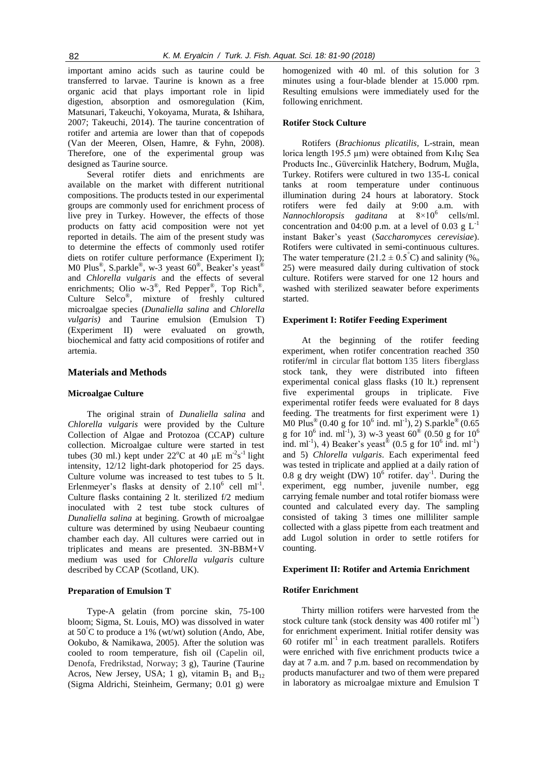important amino acids such as taurine could be transferred to larvae. Taurine is known as a free organic acid that plays important role in lipid digestion, absorption and osmoregulation (Kim, Matsunari, Takeuchi, Yokoyama, Murata, & Ishihara, 2007; Takeuchi, 2014). The taurine concentration of rotifer and artemia are lower than that of copepods (Van der Meeren, Olsen, Hamre, & Fyhn, 2008). Therefore, one of the experimental group was designed as Taurine source.

Several rotifer diets and enrichments are available on the market with different nutritional compositions. The products tested in our experimental groups are commonly used for enrichment process of live prey in Turkey. However, the effects of those products on fatty acid composition were not yet reported in details. The aim of the present study was to determine the effects of commonly used rotifer diets on rotifer culture performance (Experiment I); M0 Plus<sup>®</sup>, S.parkle®, w-3 yeast 60<sup>®</sup>, Beaker's yeast<sup>®</sup> and *Chlorella vulgaris* and the effects of several enrichments; Olio w-3<sup>®</sup>, Red Pepper<sup>®</sup>, Top Rich<sup>®</sup>, Culture Selco® , mixture of freshly cultured microalgae species (*Dunaliella salina* and *Chlorella vulgaris)* and Taurine emulsion (Emulsion T) (Experiment II) were evaluated on growth, biochemical and fatty acid compositions of rotifer and artemia.

# **Materials and Methods**

#### **Microalgae Culture**

The original strain of *Dunaliella salina* and *Chlorella vulgaris* were provided by the Culture Collection of Algae and Protozoa (CCAP) culture collection. Microalgae culture were started in test tubes (30 ml.) kept under  $22^{\circ}$ C at 40 µE m<sup>-2</sup>s<sup>-1</sup> light intensity, 12/12 light-dark photoperiod for 25 days. Culture volume was increased to test tubes to 5 lt. Erlenmeyer's flasks at density of  $2.10^6$  cell ml<sup>-1</sup>. Culture flasks containing 2 lt. sterilized f/2 medium inoculated with 2 test tube stock cultures of *Dunaliella salina* at begining. Growth of microalgae culture was determined by using Neubaeur counting chamber each day. All cultures were carried out in triplicates and means are presented. 3N-BBM+V medium was used for *Chlorella vulgaris* culture described by CCAP (Scotland, UK).

#### **Preparation of Emulsion T**

Type-A gelatin (from porcine skin, 75-100 bloom; Sigma, St. Louis, MO) was dissolved in water at  $50^{\circ}$ C to produce a 1% (wt/wt) solution (Ando, Abe, Ookubo, & Namikawa, 2005). After the solution was cooled to room temperature, fish oil (Capelin oil, Denofa, Fredrikstad, Norway; 3 g), Taurine (Taurine Acros, New Jersey, USA; 1 g), vitamin  $B_1$  and  $B_{12}$ (Sigma Aldrichi, Steinheim, Germany; 0.01 g) were homogenized with 40 ml. of this solution for 3 minutes using a four-blade blender at 15.000 rpm. Resulting emulsions were immediately used for the following enrichment.

#### **Rotifer Stock Culture**

Rotifers (*Brachionus plicatilis,* L-strain, mean lorica length 195.5 µm) were obtained from Kılıç Sea Products Inc., Güvercinlik Hatchery, Bodrum, Muğla, Turkey. Rotifers were cultured in two 135-L conical tanks at room temperature under continuous illumination during 24 hours at laboratory. Stock rotifers were fed daily at 9:00 a.m. with *Nannochloropsis gaditana* at 8×10<sup>6</sup> cells/ml. concentration and 04:00 p.m. at a level of 0.03  $g L^{-1}$ instant Baker's yeast (*Saccharomyces cerevisiae*). Rotifers were cultivated in semi-continuous cultures. The water temperature (21.2  $\pm$  0.5°C) and salinity (%. 25) were measured daily during cultivation of stock culture. Rotifers were starved for one 12 hours and washed with sterilized seawater before experiments started.

# **Experiment I: Rotifer Feeding Experiment**

At the beginning of the rotifer feeding experiment, when rotifer concentration reached 350 rotifer/ml in circular flat bottom 135 liters fiberglass stock tank, they were distributed into fifteen experimental conical glass flasks (10 lt.) reprensent five experimental groups in triplicate. Five experimental rotifer feeds were evaluated for 8 days feeding. The treatments for first experiment were 1) M0 Plus<sup>®</sup> (0.40 g for 10<sup>6</sup> ind. ml<sup>-1</sup>), 2) S.parkle<sup>®</sup> (0.65 g for  $10^6$  ind. ml<sup>-1</sup>), 3) w-3 yeast 60<sup>®</sup> (0.50 g for  $10^6$ ind. ml<sup>-1</sup>), 4) Beaker's yeast<sup>®</sup> (0.5 g for 10<sup>6</sup> ind. ml<sup>-1</sup>) and 5) *Chlorella vulgaris*. Each experimental feed was tested in triplicate and applied at a daily ration of 0.8 g dry weight (DW)  $10^6$  rotifer. day<sup>-1</sup>. During the experiment, egg number, juvenile number, egg carrying female number and total rotifer biomass were counted and calculated every day. The sampling consisted of taking 3 times one milliliter sample collected with a glass pipette from each treatment and add Lugol solution in order to settle rotifers for counting.

#### **Experiment II: Rotifer and Artemia Enrichment**

#### **Rotifer Enrichment**

Thirty million rotifers were harvested from the stock culture tank (stock density was  $400$  rotifer ml<sup>-1</sup>) for enrichment experiment. Initial rotifer density was 60 rotifer  $ml^{-1}$  in each treatment parallels. Rotifers were enriched with five enrichment products twice a day at 7 a.m. and 7 p.m. based on recommendation by products manufacturer and two of them were prepared in laboratory as microalgae mixture and Emulsion T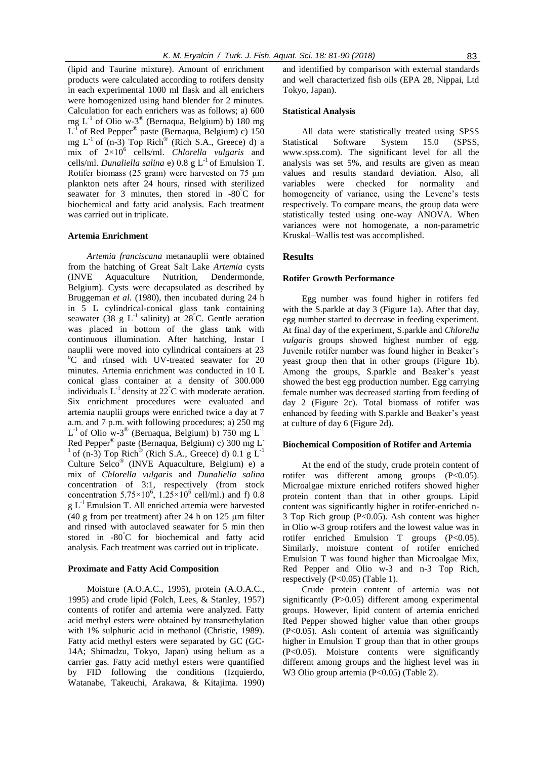(lipid and Taurine mixture). Amount of enrichment products were calculated according to rotifers density in each experimental 1000 ml flask and all enrichers were homogenized using hand blender for 2 minutes. Calculation for each enrichers was as follows; a) 600 mg  $L^{-1}$  of Olio w-3<sup>®</sup> (Bernaqua, Belgium) b) 180 mg  $L^{-1}$  of Red Pepper<sup>®</sup> paste (Bernaqua, Belgium) c) 150 mg  $L^{-1}$  of (n-3) Top Rich<sup>®</sup> (Rich S.A., Greece) d) a mix of 2×10<sup>6</sup> cells/ml. *Chlorella vulgaris* and cells/ml. *Dunaliella salina* e) 0.8 g L-1 of Emulsion T. Rotifer biomass (25 gram) were harvested on 75 µm plankton nets after 24 hours, rinsed with sterilized seawater for 3 minutes, then stored in  $-80^{\circ}$ C for biochemical and fatty acid analysis. Each treatment was carried out in triplicate.

#### **Artemia Enrichment**

*Artemia franciscana* metanauplii were obtained from the hatching of Great Salt Lake *Artemia* cysts (INVE Aquaculture Nutrition, Dendermonde, Belgium). Cysts were decapsulated as described by Bruggeman *et al.* (1980), then incubated during 24 h in 5 L cylindrical-conical glass tank containing seawater (38 g  $L^{-1}$  salinity) at 28<sup>°</sup>C. Gentle aeration was placed in bottom of the glass tank with continuous illumination. After hatching, Instar I nauplii were moved into cylindrical containers at 23 <sup>o</sup>C and rinsed with UV-treated seawater for 20 minutes. Artemia enrichment was conducted in 10 L conical glass container at a density of 300.000 individuals  $L^{-1}$  density at  $22^{\circ}$ C with moderate aeration. Six enrichment procedures were evaluated and artemia nauplii groups were enriched twice a day at 7 a.m. and 7 p.m. with following procedures; a) 250 mg  $L^{-1}$  of Olio w-3<sup>®</sup> (Bernaqua, Belgium) b) 750 mg  $L^{-1}$ Red Pepper® paste (Bernaqua, Belgium) c) 300 mg L- $1$  of (n-3) Top Rich<sup>®</sup> (Rich S.A., Greece) d) 0.1 g  $L^{-1}$ Culture Selco® (INVE Aquaculture, Belgium) e) a mix of *Chlorella vulgaris* and *Dunaliella salina*  concentration of 3:1, respectively (from stock concentration  $5.75 \times 10^6$ ,  $1.25 \times 10^6$  cell/ml.) and f) 0.8  $g L<sup>-1</sup>$  Emulsion T. All enriched artemia were harvested (40 g from per treatment) after 24 h on  $125 \mu m$  filter and rinsed with autoclaved seawater for 5 min then stored in -80°C for biochemical and fatty acid analysis. Each treatment was carried out in triplicate.

#### **Proximate and Fatty Acid Composition**

Moisture (A.O.A.C., 1995), protein (A.O.A.C., 1995) and crude lipid (Folch, Lees, & Stanley, 1957) contents of rotifer and artemia were analyzed. Fatty acid methyl esters were obtained by transmethylation with 1% sulphuric acid in methanol (Christie, 1989). Fatty acid methyl esters were separated by GC (GC-14A; Shimadzu, Tokyo, Japan) using helium as a carrier gas. Fatty acid methyl esters were quantified by FID following the conditions (Izquierdo, Watanabe, Takeuchi, Arakawa, & Kitajima. 1990) and identified by comparison with external standards and well characterized fish oils (EPA 28, Nippai, Ltd Tokyo, Japan).

### **Statistical Analysis**

All data were statistically treated using SPSS Statistical Software System 15.0 (SPSS, www.spss.com). The significant level for all the analysis was set 5%, and results are given as mean values and results standard deviation. Also, all variables were checked for normality and homogeneity of variance, using the Levene's tests respectively. To compare means, the group data were statistically tested using one-way ANOVA. When variances were not homogenate, a non-parametric Kruskal–Wallis test was accomplished.

#### **Results**

#### **Rotifer Growth Performance**

Egg number was found higher in rotifers fed with the S.parkle at day 3 (Figure 1a). After that day, egg number started to decrease in feeding experiment. At final day of the experiment, S.parkle and *Chlorella vulgaris* groups showed highest number of egg. Juvenile rotifer number was found higher in Beaker's yeast group then that in other groups (Figure 1b). Among the groups, S.parkle and Beaker's yeast showed the best egg production number. Egg carrying female number was decreased starting from feeding of day 2 (Figure 2c). Total biomass of rotifer was enhanced by feeding with S.parkle and Beaker's yeast at culture of day 6 (Figure 2d).

#### **Biochemical Composition of Rotifer and Artemia**

At the end of the study, crude protein content of rotifer was different among groups (P<0.05). Microalgae mixture enriched rotifers showed higher protein content than that in other groups. Lipid content was significantly higher in rotifer-enriched n-3 Top Rich group (P<0.05). Ash content was higher in Olio w-3 group rotifers and the lowest value was in rotifer enriched Emulsion T groups (P<0.05). Similarly, moisture content of rotifer enriched Emulsion T was found higher than Microalgae Mix, Red Pepper and Olio w-3 and n-3 Top Rich, respectively (P<0.05) (Table 1).

Crude protein content of artemia was not significantly (P>0.05) different among experimental groups. However, lipid content of artemia enriched Red Pepper showed higher value than other groups (P<0.05). Ash content of artemia was significantly higher in Emulsion T group than that in other groups (P<0.05). Moisture contents were significantly different among groups and the highest level was in W<sub>3</sub> Olio group artemia (P<0.05) (Table 2).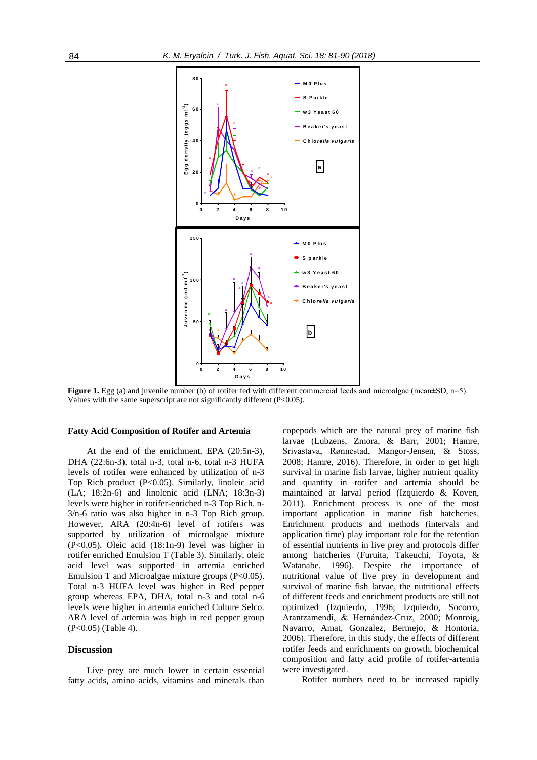

**Figure 1.** Egg (a) and juvenile number (b) of rotifer fed with different commercial feeds and microalgae (mean $\pm$ SD, n=5). Values with the same superscript are not significantly different (P<0.05).

#### **Fatty Acid Composition of Rotifer and Artemia**

At the end of the enrichment, EPA (20:5n-3), DHA (22:6n-3), total n-3, total n-6, total n-3 HUFA levels of rotifer were enhanced by utilization of n-3 Top Rich product (P<0.05). Similarly, linoleic acid (LA; 18:2n-6) and linolenic acid (LNA; 18:3n-3) levels were higher in rotifer-enriched n-3 Top Rich. n-3/n-6 ratio was also higher in n-3 Top Rich group. However, ARA (20:4n-6) level of rotifers was supported by utilization of microalgae mixture (P<0.05). Oleic acid (18:1n-9) level was higher in rotifer enriched Emulsion T (Table 3). Similarly, oleic acid level was supported in artemia enriched Emulsion T and Microalgae mixture groups (P<0.05). Total n-3 HUFA level was higher in Red pepper group whereas EPA, DHA, total n-3 and total n-6 levels were higher in artemia enriched Culture Selco. ARA level of artemia was high in red pepper group (P<0.05) (Table 4).

#### **Discussion**

Live prey are much lower in certain essential fatty acids, amino acids, vitamins and minerals than

copepods which are the natural prey of marine fish larvae (Lubzens, Zmora, & Barr, 2001; Hamre, Srivastava, Rønnestad, Mangor-Jensen, & Stoss*,* 2008; Hamre, 2016). Therefore, in order to get high survival in marine fish larvae, higher nutrient quality and quantity in rotifer and artemia should be maintained at larval period (Izquierdo & Koven, 2011). Enrichment process is one of the most important application in marine fish hatcheries. Enrichment products and methods (intervals and application time) play important role for the retention of essential nutrients in live prey and protocols differ among hatcheries (Furuita, Takeuchi, Toyota, & Watanabe*,* 1996). Despite the importance of nutritional value of live prey in development and survival of marine fish larvae, the nutritional effects of different feeds and enrichment products are still not optimized (Izquierdo, 1996; Izquierdo, Socorro, Arantzamendi, & Hernández-Cruz*,* 2000; Monroig, Navarro, Amat, Gonzalez, Bermejo, & Hontoria, 2006). Therefore, in this study, the effects of different rotifer feeds and enrichments on growth, biochemical composition and fatty acid profile of rotifer-artemia were investigated.

Rotifer numbers need to be increased rapidly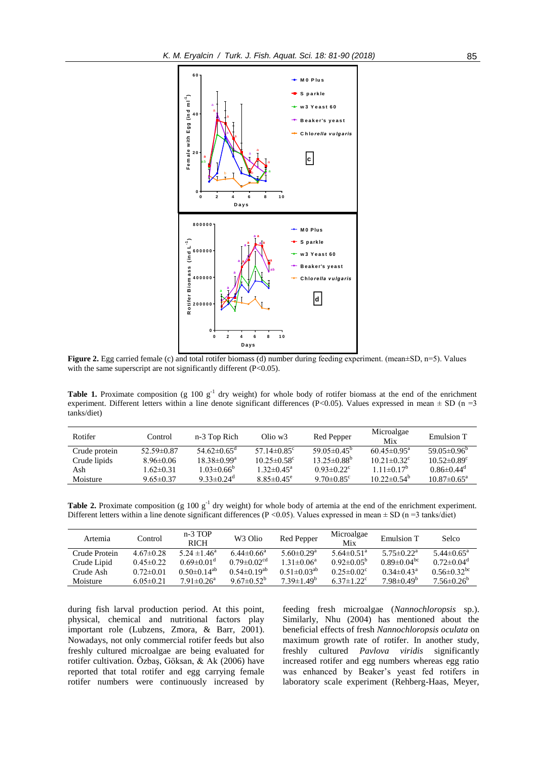

**Figure 2.** Egg carried female (c) and total rotifer biomass (d) number during feeding experiment. (mean±SD, n=5). Values with the same superscript are not significantly different (P<0.05).

**Table 1.** Proximate composition (g  $100 \text{ g}^{-1}$  dry weight) for whole body of rotifer biomass at the end of the enrichment experiment. Different letters within a line denote significant differences (P<0.05). Values expressed in mean  $\pm$  SD (n =3 tanks/diet)

| Rotifer       | Control          | n-3 Top Rich                  | $O$ lio w $3$                 | Red Pepper                    | Microalgae<br>Mix             | Emulsion T                    |
|---------------|------------------|-------------------------------|-------------------------------|-------------------------------|-------------------------------|-------------------------------|
| Crude protein | $52.59 \pm 0.87$ | $54.62\pm0.65^{\circ}$        | 57 14 $\pm$ 0.85 <sup>c</sup> | 59.05 $\pm$ 0.45 <sup>b</sup> | $60.45 \pm 0.95^{\circ}$      | $59.05\pm0.96^{\circ}$        |
| Crude lipids  | $8.96\pm0.06$    | $18.38 \pm 0.99^{\mathrm{a}}$ | $10.25 \pm 0.58$ <sup>c</sup> | $13.25 \pm 0.88^b$            | $10.21 \pm 0.32$ <sup>c</sup> | $10.52 \pm 0.89$ <sup>c</sup> |
| Ash           | $1.62 \pm 0.31$  | $1.03 \pm 0.66^{\circ}$       | $1.32 \pm 0.45^{\text{a}}$    | $0.93 \pm 0.22$               | $111 \pm 0.17^{\circ}$        | $0.86 \pm 0.44$ <sup>d</sup>  |
| Moisture      | $9.65 \pm 0.37$  | 9 33 $\pm$ 0.24 <sup>d</sup>  | $8.85 \pm 0.45$ <sup>e</sup>  | 9.70 $\pm 0.85$ °             | $10.22 \pm 0.54^b$            | $10.87 \pm 0.65^{\circ}$      |

**Table 2.** Proximate composition (g 100  $g^{-1}$  dry weight) for whole body of artemia at the end of the enrichment experiment. Different letters within a line denote significant differences (P <0.05). Values expressed in mean  $\pm$  SD (n =3 tanks/diet)

| Artemia       | Control         | $n-3$ TOP<br><b>RICH</b>     | W <sub>3</sub> Olio           | Red Pepper                   | Microalgae<br>Mix            | Emulsion T                    | Selco                         |
|---------------|-----------------|------------------------------|-------------------------------|------------------------------|------------------------------|-------------------------------|-------------------------------|
| Crude Protein | $4.67\pm0.28$   | 5 24 $\pm$ 1 46 <sup>a</sup> | $6.44 \pm 0.66^a$             | 5.60 $\pm$ 0.29 <sup>a</sup> | 5.64 $\pm$ 0.51 <sup>a</sup> | $5.75 \pm 0.22^a$             | $5.44 \pm 0.65^{\circ}$       |
| Crude Lipid   | $0.45 \pm 0.22$ | $0.69 \pm 0.01$ <sup>d</sup> | $0.79 \pm 0.02$ <sup>cd</sup> | $1.31 \pm 0.06^a$            | $0.92 \pm 0.05^b$            | $0.89 \pm 0.04$ <sup>bc</sup> | $0.72 \pm 0.04$ <sup>d</sup>  |
| Crude Ash     | $0.72 \pm 0.01$ | $0.50\pm0.14^{ab}$           | $0.54 \pm 0.19^{ab}$          | $0.51 \pm 0.03^{ab}$         | $0.25 \pm 0.02$ <sup>c</sup> | $0.34 \pm 0.43^{\text{a}}$    | $0.56 \pm 0.32$ <sup>bc</sup> |
| Moisture      | $6.05 \pm 0.21$ | $7.91 \pm 0.26$ <sup>a</sup> | 9.67 $\pm$ 0.52 <sup>b</sup>  | $7.39 \pm 1.49^b$            | 6.37 $\pm$ 1.22 $^{\circ}$   | $7.98 \pm 0.49^{\circ}$       | $7.56 \pm 0.26^b$             |

during fish larval production period. At this point, physical, chemical and nutritional factors play important role (Lubzens, Zmora, & Barr*,* 2001). Nowadays, not only commercial rotifer feeds but also freshly cultured microalgae are being evaluated for rotifer cultivation. Özbaş, Göksan, & Ak (2006) have reported that total rotifer and egg carrying female rotifer numbers were continuously increased by feeding fresh microalgae (*Nannochloropsis* sp.). Similarly, Nhu (2004) has mentioned about the beneficial effects of fresh *Nannochloropsis oculata* on maximum growth rate of rotifer. In another study, freshly cultured *Pavlova viridis* significantly increased rotifer and egg numbers whereas egg ratio was enhanced by Beaker's yeast fed rotifers in laboratory scale experiment (Rehberg-Haas, Meyer,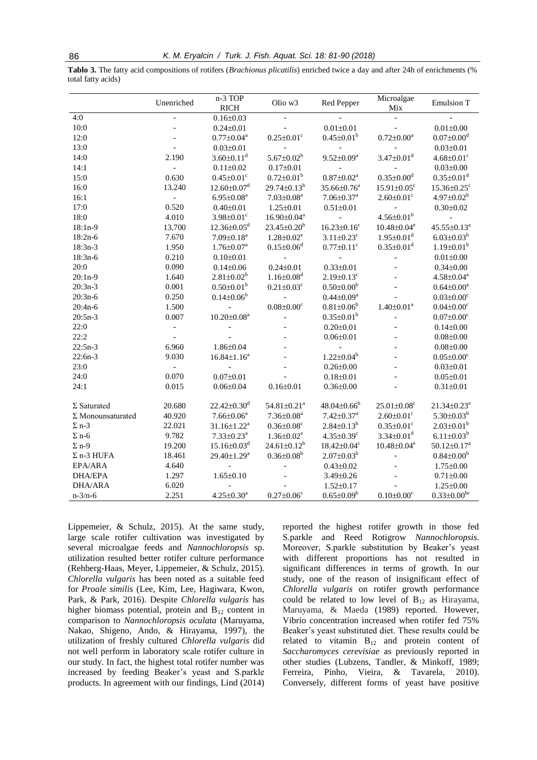**Tablo 3.** The fatty acid compositions of rotifers (*Brachionus plicatilis*) enriched twice a day and after 24h of enrichments (% total fatty acids)

|                          | Unenriched     | $n-3$ TOP<br><b>RICH</b>      | Olio w3                       | Red Pepper                    | Microalgae<br>Mix             | <b>Emulsion T</b>             |
|--------------------------|----------------|-------------------------------|-------------------------------|-------------------------------|-------------------------------|-------------------------------|
| 4:0                      | $\overline{a}$ | $0.16 \pm 0.03$               |                               |                               |                               |                               |
| 10:0                     |                | $0.24 \pm 0.01$               |                               | $0.01 \pm 0.01$               |                               | $0.01 \pm 0.00$               |
| 12:0                     |                | $0.77 \pm 0.04^a$             | $0.25 \pm 0.01$ <sup>c</sup>  | $0.45 \pm 0.01^b$             | $0.72 \pm 0.00^a$             | $0.07 \pm 0.00$ <sup>d</sup>  |
| 13:0                     |                | $0.03 \pm 0.01$               |                               |                               |                               | $0.03 \pm 0.01$               |
| 14:0                     | 2.190          | $3.60 \pm 0.11$ <sup>d</sup>  | 5.67 $\pm$ 0.02 <sup>b</sup>  | $9.52 \pm 0.09^a$             | $3.47 \pm 0.01$ <sup>d</sup>  | $4.68 \pm 0.01$ <sup>c</sup>  |
| 14:1                     |                | $0.11 \pm 0.02$               | $0.17 \pm 0.01$               |                               |                               | $0.03 \pm 0.00$               |
| 15:0                     | 0.630          | $0.45 \pm 0.01$ <sup>c</sup>  | $0.72 \pm 0.01^{\rm b}$       | $0.87 \pm 0.02^a$             | $0.35 \pm 0.00$ <sup>d</sup>  | $0.35 \pm 0.01$ <sup>d</sup>  |
| 16:0                     | 13.240         | $12.60 \pm 0.07$ <sup>d</sup> | $29.74 \pm 0.13^b$            | $35.66 \pm 0.76^a$            | $15.91 \pm 0.05$ <sup>c</sup> | $15.36 \pm 0.25$ <sup>c</sup> |
| 16:1                     | $\frac{1}{2}$  | $6.95 \pm 0.08^a$             | $7.03 \pm 0.08$ <sup>a</sup>  | $7.06 \pm 0.37$ <sup>a</sup>  | $2.60 \pm 0.01$ <sup>c</sup>  | $4.97 \pm 0.02^b$             |
| 17:0                     | 0.520          | $0.40 \pm 0.01$               | $1.25 \pm 0.01$               | $0.51 \pm 0.01$               |                               | $0.30 \pm 0.02$               |
| 18:0                     | 4.010          | $3.98 \pm 0.01$ <sup>c</sup>  | $16.90 \pm 0.04^a$            |                               | $4.56 \pm 0.01^b$             |                               |
| $18:1n-9$                | 13.700         | $12.36 \pm 0.05$ <sup>d</sup> | $23.45 \pm 0.20^b$            | $16.23 \pm 0.16$ <sup>c</sup> | $10.48 \pm 0.04$ <sup>e</sup> | $45.55 \pm 0.13^a$            |
| $18:2n-6$                | 7.670          | $7.09 \pm 0.18$ <sup>a</sup>  | $1.28 \pm 0.02$ <sup>e</sup>  | $3.11 \pm 0.23$ <sup>c</sup>  | $1.95 \pm 0.01$ <sup>d</sup>  | $6.03 \pm 0.03^b$             |
| $18:3n-3$                | 1.950          | $1.76 \pm 0.07^{\text{a}}$    | $0.15 \pm 0.06$ <sup>d</sup>  | $0.77 \pm 0.11$ <sup>c</sup>  | $0.35 \pm 0.01$ <sup>d</sup>  | $1.19 \pm 0.01^b$             |
| $18:3n-6$                | 0.210          | $0.10 \pm 0.01$               | $\overline{a}$                |                               | $\overline{a}$                | $0.01 \pm 0.00$               |
| 20:0                     | 0.090          | $0.14 \pm 0.06$               | $0.24 \pm 0.01$               | $0.33 \pm 0.01$               |                               | $0.34 \pm 0.00$               |
| $20:1n-9$                | 1.640          | $2.81 \pm 0.02^b$             | $1.16 \pm 0.08$ <sup>d</sup>  | $2.19 \pm 0.13$ <sup>c</sup>  |                               | $4.58 \pm 0.04^a$             |
| $20:3n-3$                | 0.001          | $0.50 \pm 0.01^b$             | $0.21 \pm 0.03$ <sup>c</sup>  | $0.50 \pm 0.00^b$             |                               | $0.64 \pm 0.00^a$             |
| $20:3n-6$                | 0.250          | $0.14 \pm 0.06^b$             | $\frac{1}{2}$                 | $0.44 \pm 0.09^a$             |                               | $0.03 \pm 0.00$ <sup>c</sup>  |
| $20:4n-6$                | 1.500          | $\overline{\phantom{a}}$      | $0.08 \pm 0.00$ <sup>c</sup>  | $0.81 \pm 0.06^b$             | $1.40 \pm 0.01^a$             | $0.04 \pm 0.00$ <sup>c</sup>  |
| $20:5n-3$                | 0.007          | $10.20 \pm 0.08^a$            |                               | $0.35 \pm 0.01^b$             |                               | $0.07 \pm 0.00$ <sup>c</sup>  |
| 22:0                     |                |                               |                               | $0.20 \pm 0.01$               |                               | $0.14 \pm 0.00$               |
| 22:2                     |                |                               |                               | $0.06 \pm 0.01$               |                               | $0.08 \pm 0.00$               |
| $22:5n-3$                | 6.960          | $1.86 \pm 0.04$               |                               |                               |                               | $0.08 \pm 0.00$               |
| $22:6n-3$                | 9.030          | $16.84 \pm 1.16^a$            |                               | $1.22 \pm 0.04^b$             |                               | $0.05 \pm 0.00$ <sup>c</sup>  |
| 23:0                     |                | $\overline{a}$                |                               | $0.26 \pm 0.00$               |                               | $0.03 \pm 0.01$               |
| 24:0                     | 0.070          | $0.07 \pm 0.01$               |                               | $0.18 \pm 0.01$               |                               | $0.05 \pm 0.01$               |
| 24:1                     | 0.015          | $0.06 \pm 0.04$               | $0.16 \pm 0.01$               | $0.36 \pm 0.00$               |                               | $0.31 \pm 0.01$               |
| $\Sigma$ Saturated       | 20.680         | $22.42 \pm 0.30$ <sup>d</sup> | $54.81 \pm 0.21$ <sup>a</sup> | $48.04 \pm 0.66^{\circ}$      | $25.01 \pm 0.08$ <sup>c</sup> | $21.34 \pm 0.23$ <sup>e</sup> |
| $\Sigma$ Monounsaturated | 40.920         | $7.66 \pm 0.06^a$             | $7.36 \pm 0.08^a$             | $7.42 \pm 0.37$ <sup>a</sup>  | $2.60 \pm 0.01$ <sup>c</sup>  | $5.30 \pm 0.03^b$             |
| $\Sigma$ n-3             | 22.021         | $31.16 \pm 1.22^a$            | $0.36 \pm 0.08$ <sup>c</sup>  | $2.84 \pm 0.13^b$             | $0.35 \pm 0.01$ <sup>c</sup>  | $2.03 \pm 0.01^b$             |
| $\Sigma$ n-6             | 9.782          | $7.33 \pm 0.23$ <sup>a</sup>  | $1.36 \pm 0.02$ <sup>e</sup>  | $4.35 \pm 0.39$ <sup>c</sup>  | $3.34 \pm 0.01$ <sup>d</sup>  | $6.11 \pm 0.03^b$             |
| $\Sigma$ n-9             | 19.200         | $15.16 \pm 0.03$ <sup>d</sup> | $24.61 \pm 0.12^b$            | $18.42 \pm 0.04$ <sup>c</sup> | $10.48 \pm 0.04$ <sup>e</sup> | $50.12 \pm 0.17$ <sup>a</sup> |
| $\Sigma$ n-3 HUFA        | 18.461         | 29.40±1.29 <sup>a</sup>       | $0.36 \pm 0.08^b$             | $2.07 \pm 0.03^b$             |                               | $0.84 \pm 0.00^b$             |
| EPA/ARA                  | 4.640          | $\overline{\phantom{a}}$      |                               | $0.43 \pm 0.02$               |                               | $1.75 \pm 0.00$               |
| <b>DHA/EPA</b>           | 1.297          | $1.65 \pm 0.10$               |                               | $3.49 \pm 0.26$               |                               | $0.71 \pm 0.00$               |
| DHA/ARA                  | 6.020          | $\overline{a}$                |                               | $1.52 \pm 0.17$               |                               | $1.25 \pm 0.00$               |
| $n - 3/n - 6$            | 2.251          | $4.25 \pm 0.30^a$             | $0.27 \pm 0.06$ <sup>c</sup>  | $0.65 \pm 0.09^b$             | $0.10 \pm 0.00$ <sup>c</sup>  | $0.33 \pm 0.00^{\rm bc}$      |

Lippemeier, & Schulz, 2015). At the same study, large scale rotifer cultivation was investigated by several microalgae feeds and *Nannochloropsis* sp. utilization resulted better rotifer culture performance (Rehberg-Haas, Meyer, Lippemeier, & Schulz, 2015). *Chlorella vulgaris* has been noted as a suitable feed for *Proale similis* (Lee, Kim, Lee, Hagiwara, Kwon, Park, & Park, 2016). Despite *Chlorella vulgaris* has higher biomass potential, protein and  $B_{12}$  content in comparison to *Nannochloropsis oculata* (Maruyama, Nakao, Shigeno, Ando, & Hirayama, 1997), the utilization of freshly cultured *Chlorella vulgaris* did not well perform in laboratory scale rotifer culture in our study. In fact, the highest total rotifer number was increased by feeding Beaker's yeast and S.parkle products. In agreement with our findings, Lind (2014) reported the highest rotifer growth in those fed S.parkle and Reed Rotigrow *Nannochloropsis*. Moreover, S.parkle substitution by Beaker's yeast with different proportions has not resulted in significant differences in terms of growth. In our study, one of the reason of insignificant effect of *Chlorella vulgaris* on rotifer growth performance could be related to low level of  $B_{12}$  as Hirayama, Maruyama, & Maeda (1989) reported. However, Vibrio concentration increased when rotifer fed 75% Beaker's yeast substituted diet. These results could be related to vitamin  $B_{12}$  and protein content of *Saccharomyces cerevisiae* as previously reported in other studies (Lubzens, Tandler, & Minkoff, 1989; Ferreira, Pinho, Vieira, & Tavarela, 2010). Conversely, different forms of yeast have positive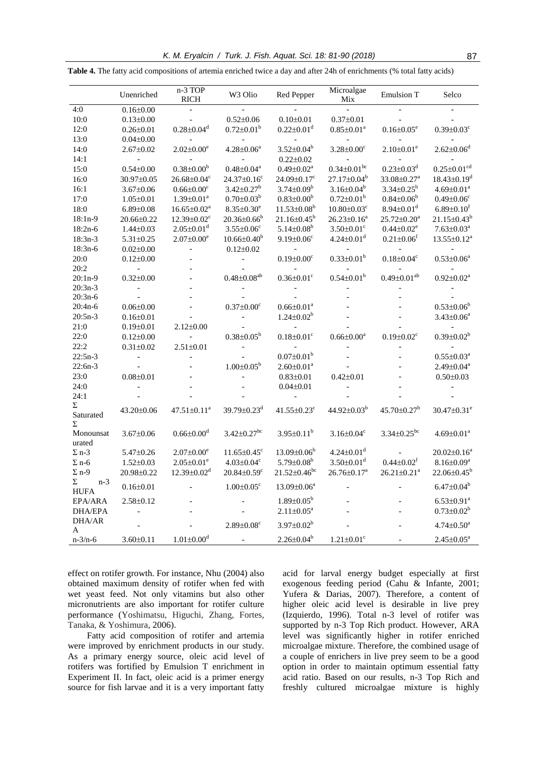|                                  | Unenriched               | n-3 TOP<br>$\mathbf{RICH}$    | W <sub>3</sub> Olio           | Red Pepper                     | Microalgae<br>Mix             | Emulsion T                    | Selco                         |
|----------------------------------|--------------------------|-------------------------------|-------------------------------|--------------------------------|-------------------------------|-------------------------------|-------------------------------|
| 4:0                              | $0.16 \pm 0.00$          | $\overline{a}$                |                               |                                |                               |                               |                               |
| 10:0                             | $0.13 \pm 0.00$          |                               | $0.52 \pm 0.06$               | $0.10 \pm 0.01$                | $0.37 \pm 0.01$               |                               |                               |
| 12:0                             | $0.26 \pm 0.01$          | $0.28 \pm 0.04$ <sup>d</sup>  | $0.72 \pm 0.01^b$             | $0.22 \pm 0.01$ <sup>d</sup>   | $0.85 \pm 0.01^a$             | $0.16 \pm 0.05$ <sup>e</sup>  | $0.39 \pm 0.03$ <sup>c</sup>  |
| 13:0                             | $0.04 \pm 0.00$          |                               |                               |                                |                               |                               |                               |
| 14:0                             | $2.67 \pm 0.02$          | $2.02 \pm 0.00^e$             | $4.28 \pm 0.06^a$             | $3.52 \pm 0.04^b$              | $3.28 \pm 0.00$ <sup>c</sup>  | $2.10 \pm 0.01$ <sup>e</sup>  | $2.62 \pm 0.06$ <sup>d</sup>  |
| 14:1                             | $\overline{\phantom{a}}$ |                               |                               | $0.22 \pm 0.02$                |                               |                               |                               |
| 15:0                             | $0.54 \pm 0.00$          | $0.38 \pm 0.00^b$             | $0.48{\pm}0.04^{\mathrm{a}}$  | $0.49 \pm 0.02^a$              | $0.34 \pm 0.01$ <sup>bc</sup> | $0.23 \pm 0.03$ <sup>d</sup>  | $0.25 \pm 0.01$ <sup>cd</sup> |
| 16:0                             | 30.97±0.05               | $26.68 \pm 0.04$ <sup>c</sup> | $24.37 \pm 0.16$ <sup>c</sup> | $24.09 \pm 0.17$ <sup>c</sup>  | $27.17 \pm 0.04^b$            | 33.08±0.27 <sup>a</sup>       | $18.43 \pm 0.19$ <sup>d</sup> |
| 16:1                             | $3.67 \pm 0.06$          | $0.66 \pm 0.00$ <sup>c</sup>  | $3.42 \pm 0.27^b$             | $3.74 \pm 0.09^b$              | $3.16 \pm 0.04^b$             | $3.34 \pm 0.25^b$             | $4.69 \pm 0.01^a$             |
| 17:0                             | $1.05 \pm 0.01$          | $1.39 \pm 0.01^a$             | $0.70 \pm 0.03^b$             | $0.83 \pm 0.00^b$              | $0.72 \pm 0.01^{\rm b}$       | $0.84 \pm 0.06^b$             | $0.49 \pm 0.06$ c             |
| 18:0                             | $6.89 \pm 0.08$          | $16.65 \pm 0.02^a$            | $8.35 \pm 0.30^e$             | $11.53 \pm 0.08^b$             | $10.80 \pm 0.03$ <sup>c</sup> | $8.94 \pm 0.01$ <sup>d</sup>  | $6.89 \pm 0.10$ <sup>f</sup>  |
| 18:1n-9                          | 20.66±0.22               | $12.39 \pm 0.02$ <sup>c</sup> | $20.36 \pm 0.66^b$            | $21.16 \pm 0.45^b$             | $26.23 \pm 0.16^a$            | $25.72 \pm 0.20^a$            | $21.15 \pm 0.43^b$            |
| $18:2n-6$                        | $1.44 \pm 0.03$          | $2.05 \pm 0.01$ <sup>d</sup>  | $3.55 \pm 0.06$ <sup>c</sup>  | $5.14 \pm 0.08^b$              | $3.50 \pm 0.01$ <sup>c</sup>  | $0.44 \pm 0.02$ <sup>e</sup>  | $7.63 \pm 0.03^a$             |
| $18:3n-3$                        | $5.31 \pm 0.25$          | $2.07 \pm 0.00^e$             | $10.66 \pm 0.40^b$            | $9.19 \pm 0.06$ <sup>c</sup>   | $4.24 \pm 0.01$ <sup>d</sup>  | $0.21 \pm 0.06$ <sup>f</sup>  | $13.55 \pm 0.12^a$            |
| 18:3n-6                          | $0.02 \pm 0.00$          |                               | $0.12 \pm 0.02$               |                                |                               |                               |                               |
| 20:0                             | $0.12 \pm 0.00$          |                               | $\overline{\phantom{a}}$      | $0.19 \pm 0.00$ <sup>c</sup>   | $0.33 \pm 0.01^b$             | $0.18 \pm 0.04$ <sup>c</sup>  | $0.53 \pm 0.06^a$             |
| 20:2                             | $\Box$                   |                               |                               |                                |                               |                               |                               |
| $20:1n-9$                        | $0.32 \pm 0.00$          |                               | $0.48{\pm0.08}^{ab}$          | $0.36 \pm 0.01$ <sup>c</sup>   | $0.54 \pm 0.01^{\rm b}$       | $0.49 \pm 0.01^{ab}$          | $0.92 \pm 0.02^a$             |
| $20:3n-3$                        |                          |                               |                               |                                |                               |                               |                               |
| $20:3n-6$                        |                          |                               |                               |                                |                               |                               |                               |
| $20:4n-6$                        | $0.06 \pm 0.00$          |                               | $0.37 \pm 0.00$ <sup>c</sup>  | $0.66 \pm 0.01^a$              |                               |                               | $0.53 \pm 0.06^b$             |
| $20:5n-3$                        | $0.16 \pm 0.01$          |                               | $\frac{1}{2}$                 | $1.24 \pm 0.02^b$              |                               |                               | $3.43 \pm 0.06^a$             |
| 21:0                             | $0.19 \pm 0.01$          | $2.12 \pm 0.00$               |                               |                                |                               |                               |                               |
| 22:0                             | $0.12 \pm 0.00$          |                               | $0.38 \pm 0.05^b$             | $0.18 \pm 0.01$ <sup>c</sup>   | $0.66 \pm 0.00^a$             | $0.19 \pm 0.02$ <sup>c</sup>  | $0.39 \pm 0.02^b$             |
| 22:2                             | $0.31 \pm 0.02$          | $2.51 \pm 0.01$               | $\frac{1}{2}$                 |                                |                               |                               |                               |
| $22:5n-3$                        | $\blacksquare$           |                               |                               | $0.07 \pm 0.01^{\rm b}$        |                               |                               | $0.55 \pm 0.03^a$             |
| $22:6n-3$                        |                          |                               | $1.00 \pm 0.05^b$             | $2.60 \pm 0.01^a$              |                               |                               | $2.49 \pm 0.04^a$             |
| 23:0                             | $0.08 \pm 0.01$          |                               |                               | $0.83 \pm 0.01$                | $0.42 \pm 0.01$               |                               | $0.50 \pm 0.03$               |
| 24:0                             |                          |                               |                               | $0.04 \pm 0.01$                |                               |                               |                               |
| 24:1                             |                          |                               |                               |                                |                               |                               |                               |
| Σ                                | 43.20±0.06               | $47.51 \pm 0.11^a$            | 39.79±0.23 <sup>d</sup>       | $41.55 \pm 0.23$ <sup>c</sup>  | 44.92 $\pm$ 0.03 <sup>b</sup> | 45.70±0.27 <sup>b</sup>       | $30.47 \pm 0.31$ <sup>e</sup> |
| Saturated<br>Σ                   |                          |                               |                               |                                |                               |                               |                               |
| Monounsat<br>urated              | $3.67 \pm 0.06$          | $0.66 \pm 0.00$ <sup>d</sup>  | $3.42 \pm 0.27$ <sup>bc</sup> | $3.95 \pm 0.11^b$              | $3.16 \pm 0.04$ <sup>c</sup>  | $3.34 \pm 0.25$ <sup>bc</sup> | $4.69 \pm 0.01^a$             |
| $\Sigma$ n-3                     | $5.47 \pm 0.26$          | $2.07 \pm 0.00^e$             | $11.65 \pm 0.45$ <sup>c</sup> | $13.09 \pm 0.06^b$             | $4.24 \pm 0.01$ <sup>d</sup>  |                               | $20.02 \pm 0.16^a$            |
| $\Sigma$ n-6                     | $1.52 \pm 0.03$          | $2.05 \pm 0.01^e$             | $4.03 \pm 0.04$ <sup>c</sup>  | 5.79 $\pm$ 0.08 <sup>b</sup>   | $3.50 \pm 0.01$ <sup>d</sup>  | $0.44 \pm 0.02$ <sup>f</sup>  | $8.16 \pm 0.09^a$             |
| $\Sigma$ n-9                     | 20.98±0.22               | $12.39 \pm 0.02$ <sup>d</sup> | $20.84 \pm 0.59$ <sup>c</sup> | $21.52 \pm 0.46$ <sup>bc</sup> | $26.76 \pm 0.17^a$            | $26.21 \pm 0.21$ <sup>a</sup> | $22.06 \pm 0.45^b$            |
| $\Sigma$<br>$n-3$<br><b>HUFA</b> | $0.16 \pm 0.01$          |                               | $1.00 \pm 0.05$ <sup>c</sup>  | 13.09±0.06 <sup>a</sup>        |                               |                               | $6.47 \pm 0.04^b$             |
| EPA/ARA                          | $2.58 \pm 0.12$          |                               |                               | $1.89 \pm 0.05^b$              |                               |                               | $6.53 \pm 0.91^a$             |
| DHA/EPA                          |                          |                               |                               | $2.11 \pm 0.05^a$              |                               |                               | $0.73 \pm 0.02^b$             |
| DHA/AR<br>A                      |                          |                               | $2.89 \pm 0.08$ <sup>c</sup>  | $3.97 \pm 0.02^b$              |                               |                               | $4.74 \pm 0.50^a$             |
| $n - 3/n - 6$                    | $3.60 \pm 0.11$          | $1.01 \pm 0.00$ <sup>d</sup>  |                               | $2.26 \pm 0.04^b$              | $1.21 \pm 0.01$ <sup>c</sup>  |                               | $2.45 \pm 0.05^a$             |

**Table 4.** The fatty acid compositions of artemia enriched twice a day and after 24h of enrichments (% total fatty acids)

effect on rotifer growth. For instance, Nhu (2004) also obtained maximum density of rotifer when fed with wet yeast feed. Not only vitamins but also other micronutrients are also important for rotifer culture performance (Yoshimatsu, Higuchi, Zhang, Fortes, Tanaka, & Yoshimura*,* 2006).

Fatty acid composition of rotifer and artemia were improved by enrichment products in our study. As a primary energy source, oleic acid level of rotifers was fortified by Emulsion T enrichment in Experiment II. In fact, oleic acid is a primer energy source for fish larvae and it is a very important fatty

acid for larval energy budget especially at first exogenous feeding period (Cahu & Infante, 2001; Yufera & Darias, 2007). Therefore, a content of higher oleic acid level is desirable in live prey (Izquierdo, 1996). Total n-3 level of rotifer was supported by n-3 Top Rich product. However, ARA level was significantly higher in rotifer enriched microalgae mixture. Therefore, the combined usage of a couple of enrichers in live prey seem to be a good option in order to maintain optimum essential fatty acid ratio. Based on our results, n-3 Top Rich and freshly cultured microalgae mixture is highly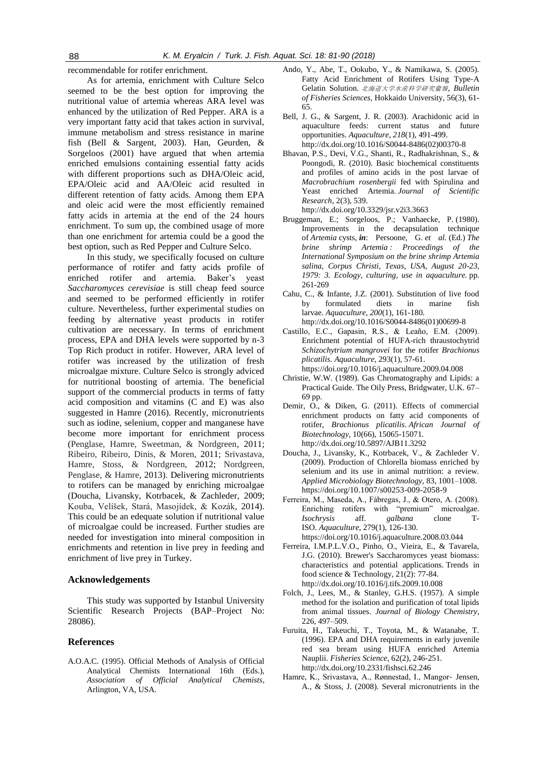recommendable for rotifer enrichment.

As for artemia, enrichment with Culture Selco seemed to be the best option for improving the nutritional value of artemia whereas ARA level was enhanced by the utilization of Red Pepper. ARA is a very important fatty acid that takes action in survival, immune metabolism and stress resistance in marine fish (Bell & Sargent, 2003). Han, Geurden, & Sorgeloos (2001) have argued that when artemia enriched emulsions containing essential fatty acids with different proportions such as DHA/Oleic acid, EPA/Oleic acid and AA/Oleic acid resulted in different retention of fatty acids. Among them EPA and oleic acid were the most efficiently remained fatty acids in artemia at the end of the 24 hours enrichment. To sum up, the combined usage of more than one enrichment for artemia could be a good the best option, such as Red Pepper and Culture Selco.

In this study, we specifically focused on culture performance of rotifer and fatty acids profile of enriched rotifer and artemia. Baker's yeast *Saccharomyces cerevisiae* is still cheap feed source and seemed to be performed efficiently in rotifer culture. Nevertheless, further experimental studies on feeding by alternative yeast products in rotifer cultivation are necessary. In terms of enrichment process, EPA and DHA levels were supported by n-3 Top Rich product in rotifer. However, ARA level of rotifer was increased by the utilization of fresh microalgae mixture. Culture Selco is strongly adviced for nutritional boosting of artemia. The beneficial support of the commercial products in terms of fatty acid composition and vitamins (C and E) was also suggested in Hamre (2016). Recently, micronutrients such as iodine, selenium, copper and manganese have become more important for enrichment process (Penglase, Hamre, Sweetman, & Nordgreen*,* 2011; Ribeiro, Ribeiro, Dinis, & Moren, 2011; Srivastava, Hamre, Stoss, & Nordgreen, 2012; Nordgreen, Penglase, & Hamre*,* 2013). Delivering micronutrients to rotifers can be managed by enriching microalgae (Doucha, Livansky, Kotrbacek, & Zachleder, 2009; Kouba, Velíšek, Stará, Masojídek, & Kozák*,* 2014). This could be an edequate solution if nutritional value of microalgae could be increased. Further studies are needed for investigation into mineral composition in enrichments and retention in live prey in feeding and enrichment of live prey in Turkey.

# **Acknowledgements**

This study was supported by Istanbul University Scientific Research Projects (BAP–Project No: 28086).

#### **References**

A.O.A.C. (1995). Official Methods of Analysis of Official Analytical Chemists International 16th (Eds.), *Association of Official Analytical Chemists*, Arlington, VA, USA.

- Ando, Y., Abe, T., Ookubo, Y., & Namikawa, S. (2005). Fatty Acid Enrichment of Rotifers Using Type-A Gelatin Solution. 北海道大学水産科学研究彙報*, Bulletin of Fisheries Sciences*, Hokkaido University, 56(3), 61- 65.
- Bell, J. G., & Sargent, J. R. (2003). Arachidonic acid in aquaculture feeds: current status and future opportunities. *Aquaculture*, *218*(1), 491-499. [http://dx.doi.org/10.1016/S0044-8486\(02\)00370-8](http://doi.org/10.1016/S0044-8486(02)00370-8)
- Bhavan, P.S., Devi, V.G., Shanti, R., Radhakrishnan, S., & Poongodi, R. (2010). Basic biochemical constituents and profiles of amino acids in the post larvae of *Macrobrachium rosenbergii* fed with Spirulina and Yeast enriched Artemia. *Journal of Scientific Research*, 2(3), 539. [http://dx.doi.org/10.3329/jsr.v2i3.3663](http://doi.org/10.3329/jsr.v2i3.3663)
- Bruggeman, E.; Sorgeloos, P.; Vanhaecke, P. (1980). Improvements in the decapsulation technique of *Artemia* cysts, *in*: Persoone, G. *et al.* (Ed.) *The brine shrimp Artemia : Proceedings of the International Symposium on the brine shrimp Artemia salina, Corpus Christi, Texas, USA, August 20-23, 1979: 3. Ecology, culturing, use in aquaculture.* pp. 261-269
- Cahu, C., & Infante, J.Z. (2001). Substitution of live food by formulated diets in marine fish larvae. *Aquaculture*, *200*(1), 161-180. [http://dx.doi.org/10.1016/S0044-8486\(01\)00699-8](http://doi.org/10.1016/S0044-8486(01)00699-8)
- Castillo, E.C., Gapasin, R.S., & Leaño, E.M. (2009). Enrichment potential of HUFA-rich thraustochytrid *Schizochytrium mangrovei* for the rotifer *Brachionus plicatilis*. *Aquaculture*, 293(1), 57-61.
	- <https://doi.org/10.1016/j.aquaculture.2009.04.008>
- Christie, W.W. (1989). Gas Chromatography and Lipids: a Practical Guide. The Oily Press, Bridgwater, U.K. 67– 69 pp.
- Demir, O., & Diken, G. (2011). Effects of commercial enrichment products on fatty acid components of rotifer, *Brachionus plicatilis*. *African Journal of Biotechnology*, 10(66), 15065-15071. http://dx.doi.org/10.5897/AJB11.3292
- Doucha, J., Livansky, K., Kotrbacek, V., & Zachleder V. (2009). Production of Chlorella biomass enriched by selenium and its use in animal nutrition: a review. *Applied Microbiology Biotechnology,* 83, 1001–1008. https://doi.org/10.1007/s00253-009-2058-9
- Ferreira, M., Maseda, A., Fábregas, J., & Otero, A. (2008). Enriching rotifers with "premium" microalgae. *Isochrysis* aff. *galbana* clone T-ISO. *Aquaculture*, 279(1), 126-130. <https://doi.org/10.1016/j.aquaculture.2008.03.044>
- Ferreira, I.M.P.L.V.O., Pinho, O., Vieira, E., & Tavarela, J.G. (2010). Brewer's Saccharomyces yeast biomass: characteristics and potential applications. Trends in food science & Technology, 21(2): 77-84. [http://dx.doi.org/10.1016/j.tifs.2009.10.008](http://doi.org/10.1016/j.tifs.2009.10.008)
- Folch, J., Lees, M., & Stanley, G.H.S. (1957). A simple method for the isolation and purification of total lipids from animal tissues. *Journal of Biology Chemistry*, 226, 497–509.
- Furuita, H., Takeuchi, T., Toyota, M., & Watanabe, T. (1996). EPA and DHA requirements in early juvenile red sea bream using HUFA enriched Artemia Nauplii. *Fisheries Science*, 62(2), 246-251. http://dx.doi.org/10.2331/fishsci.62.246
- Hamre, K., Srivastava, A., Rønnestad, I., Mangor‐ Jensen, A., & Stoss, J. (2008). Several micronutrients in the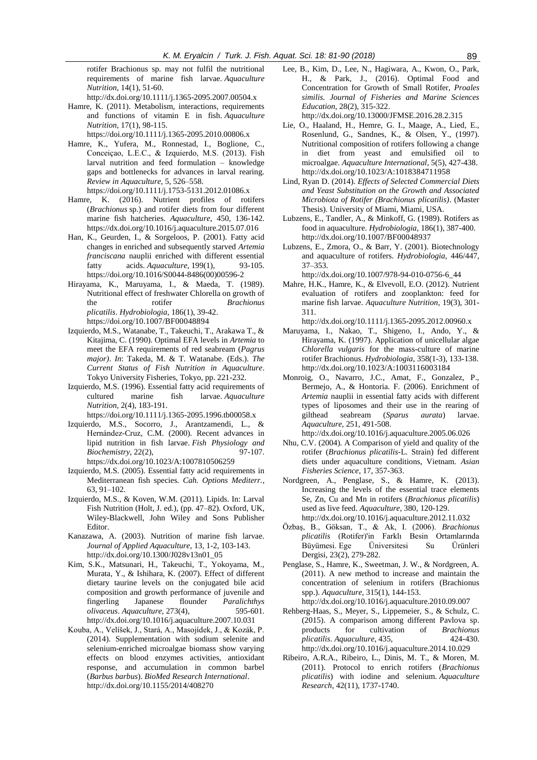rotifer Brachionus sp. may not fulfil the nutritional requirements of marine fish larvae. *Aquaculture Nutrition*, 14(1), 51-60.

http://dx.doi.org/10.1111/j.1365-2095.2007.00504.x

Hamre, K. (2011). Metabolism, interactions, requirements and functions of vitamin E in fish. *Aquaculture Nutrition*, 17(1), 98-115.

https://doi.org/10.1111/j.1365-2095.2010.00806.x

- Hamre, K., Yufera, M., Ronnestad, I., Boglione, C., Conceiçao, L.E.C., & Izquierdo, M.S. (2013). Fish larval nutrition and feed formulation – knowledge gaps and bottlenecks for advances in larval rearing. *Review in Aquaculture*, 5, 526–558. https://doi.org/10.1111/j.1753-5131.2012.01086.x
- Hamre, K. (2016). Nutrient profiles of rotifers (*Brachionus* sp.) and rotifer diets from four different marine fish hatcheries. *Aquaculture*, 450, 136-142. <https://dx.doi.org/10.1016/j.aquaculture.2015.07.016>
- Han, K., Geurden, I., & Sorgeloos, P. (2001). Fatty acid changes in enriched and subsequently starved *Artemia franciscana* nauplii enriched with different essential fatty acids. *Aquaculture*, 199(1), 93-105[.](https://doi.org/10.1016/S0044-8486(00)00596-2)  [https://doi.org/10.1016/S0044-8486\(00\)00596-2](https://doi.org/10.1016/S0044-8486(00)00596-2)
- Hirayama, K., Maruyama, I., & Maeda, T. (1989). Nutritional effect of freshwater Chlorella on growth of the rotifer *Brachionus plicatilis*. *Hydrobiologia*, 186(1), 39-42. https://doi.org/10.1007/BF00048894
- Izquierdo, M.S., Watanabe, T., Takeuchi, T., Arakawa T., & Kitajima, C. (1990). Optimal EFA levels in *Artemia* to meet the EFA requirements of red seabream (*Pagrus major)*. *In*: Takeda, M. & T. Watanabe. (Eds.). *The Current Status of Fish Nutrition in Aquaculture*. Tokyo University Fisheries, Tokyo, pp. 221-232.
- Izquierdo, M.S. (1996). Essential fatty acid requirements of cultured marine fish larvae. *Aquaculture Nutrition*, 2(4), 183-191.

https://doi.org/10.1111/j.1365-2095.1996.tb00058.x

- Izquierdo, M.S., Socorro, J., Arantzamendi, L., & Hernández-Cruz, C.M. (2000). Recent advances in lipid nutrition in fish larvae. *Fish Physiology and Biochemistry*, 22(2), 97-107. https://dx.doi.org/10.1023/A:1007810506259
- Izquierdo, M.S. (2005). Essential fatty acid requirements in Mediterranean fish species. *Cah. Options Mediterr.*, 63, 91–102.
- Izquierdo, M.S., & Koven, W.M. (2011). Lipids. In: Larval Fish Nutrition (Holt, J. ed.), (pp. 47–82). Oxford, UK, Wiley-Blackwell, John Wiley and Sons Publisher Editor.
- Kanazawa, A. (2003). Nutrition of marine fish larvae. *Journal of Applied Aquaculture*, 13, 1-2, 103-143. [http://dx.doi.org/10.1300/J028v13n01\\_05](http://doi.org/10.1300/J028v13n01_05)
- Kim, S.K., Matsunari, H., Takeuchi, T., Yokoyama, M., Murata, Y., & Ishihara, K. (2007). Effect of different dietary taurine levels on the conjugated bile acid composition and growth performance of juvenile and fingerling Japanese flounder *Paralichthys olivaceus*. *Aquaculture*, 273(4), 595-601. [http://dx.doi.org/10.1016/j.aquaculture.2007.10.031](http://doi.org/10.1016/j.aquaculture.2007.10.031)
- Kouba, A., Velíšek, J., Stará, A., Masojídek, J., & Kozák, P. (2014). Supplementation with sodium selenite and selenium-enriched microalgae biomass show varying effects on blood enzymes activities, antioxidant response, and accumulation in common barbel (*Barbus barbus*). *BioMed Research International*. http://dx.doi.org/10.1155/2014/408270

Lee, B., Kim, D., Lee, N., Hagiwara, A., Kwon, O., Park, H., & Park, J., (2016). Optimal Food and Concentration for Growth of Small Rotifer, *Proales similis. Journal of Fisheries and Marine Sciences Education*, 28(2), 315-322.

http://dx.doi.org/10.13000/JFMSE.2016.28.2.315

- Lie, O., Haaland, H., Hemre, G. I., Maage, A., Lied, E., Rosenlund, G., Sandnes, K., & Olsen, Y., (1997). Nutritional composition of rotifers following a change in diet from yeast and emulsified oil to microalgae. *Aquaculture International*, 5(5), 427-438. http://dx.doi.org/10.1023/A:1018384711958
- Lind, Ryan D. (2014). *Effects of Selected Commercial Diets and Yeast Substitution on the Growth and Associated Microbiota of Rotifer (Brachionus plicatilis)*. (Master Thesis). University of Miami, Miami, USA.
- Lubzens, E., Tandler, A., & Minkoff, G. (1989). Rotifers as food in aquaculture. *Hydrobiologia*, 186(1), 387-400. http://dx.doi.org/10.1007/BF00048937
- Lubzens, E., Zmora, O., & Barr, Y. (2001). Biotechnology and aquaculture of rotifers. *Hydrobiologia*, 446/447, 37–353.

http://dx.doi.org/10.1007/978-94-010-0756-6\_44

Mahre, H.K., Hamre, K., & Elvevoll, E.O. (2012). Nutrient evaluation of rotifers and zooplankton: feed for marine fish larvae. *Aquaculture Nutrition*, 19(3), 301- 311.

http://dx.doi.org/10.1111/j.1365-2095.2012.00960.x

- Maruyama, I., Nakao, T., Shigeno, I., Ando, Y., & Hirayama, K. (1997). Application of unicellular algae *Chlorella vulgaris* for the mass-culture of marine rotifer Brachionus. *Hydrobiologia*, 358(1-3), 133-138. http://dx.doi.org/10.1023/A:1003116003184
- Monroig, O., Navarro, J.C., Amat, F., Gonzalez, P., Bermejo, A., & Hontoria. F. (2006). Enrichment of *Artemia* nauplii in essential fatty acids with different types of liposomes and their use in the rearing of gilthead seabream (*Sparus aurata*) larvae. *Aquaculture*, 251, 491-508.
- http://dx.doi.or[g/10.1016/j.aquaculture.2005.06.026](http://dx.doi.org/10.1016/j.aquaculture.2005.06.026)
- Nhu, C.V. (2004). A Comparison of yield and quality of the rotifer (*Brachionus plicatilis*-L. Strain) fed different diets under aquaculture conditions, Vietnam. *Asian Fisheries Science*, 17, 357-363.
- Nordgreen, A., Penglase, S., & Hamre, K. (2013). Increasing the levels of the essential trace elements Se, Zn, Cu and Mn in rotifers (*Brachionus plicatilis*) used as live feed. *Aquaculture*, 380, 120-129. http://dx.doi.org/10.1016/j.aquaculture.2012.11.032
- Özbaş, B., Göksan, T., & Ak, I. (2006). *Brachionus plicatilis* (Rotifer)'in Farklı Besin Ortamlarında Büyümesi. Ege Üniversitesi Su Ürünleri Dergisi, 23(2), 279-282.
- Penglase, S., Hamre, K., Sweetman, J. W., & Nordgreen, A. (2011). A new method to increase and maintain the concentration of selenium in rotifers (Brachionus spp.). *Aquaculture*, 315(1), 144-153.
- http://dx.doi.org/10.1016/j.aquaculture.2010.09.007 Rehberg-Haas, S., Meyer, S., Lippemeier, S., & Schulz, C. (2015). A comparison among different Pavlova sp. products for cultivation of *Brachionus plicatilis*. *Aquaculture*, 435, 424-430. [http://dx.doi.org/10.1016/j.aquaculture.2014.10.029](http://doi.org/10.1016/j.aquaculture.2014.10.029)
- Ribeiro, A.R.A., Ribeiro, L., Dinis, M. T., & Moren, M. (2011). Protocol to enrich rotifers (*Brachionus plicatilis*) with iodine and selenium. *Aquaculture Research*, 42(11), 1737-1740.